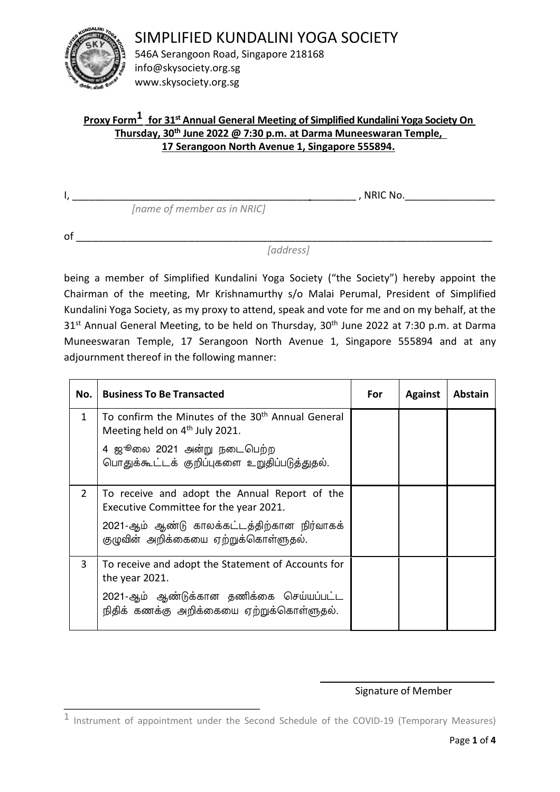

SIMPLIFIED KUNDALINI YOGA SOCIETY

546A Serangoon Road, Singapore 218168 info@skysociety.org.sg www.skysociety.org.sg

 *[name of member as in NRIC]*

# **Proxy Form1 for 31st Annual General Meeting of Simplified Kundalini Yoga Society On Thursday, 30th June 2022 @ 7:30 p.m. at Darma Muneeswaran Temple, 17 Serangoon North Avenue 1, Singapore 555894.**

I, \_\_\_\_\_\_\_\_\_\_\_\_\_\_\_\_\_\_\_\_\_\_\_\_\_\_\_\_\_\_\_\_\_\_\_\_\_\_\_\_\_\_ \_\_\_\_\_\_\_\_ , NRIC No.\_\_\_\_\_\_\_\_\_\_\_\_\_\_\_\_

of \_\_\_\_\_\_\_\_\_\_\_\_\_\_\_\_\_\_\_\_\_\_\_\_\_\_\_\_\_\_\_\_\_\_\_\_\_\_\_\_\_\_\_\_\_\_\_\_\_\_\_\_\_\_\_\_\_\_\_\_\_\_\_\_\_\_\_\_\_\_\_\_\_\_

*[address]*

being a member of Simplified Kundalini Yoga Society ("the Society") hereby appoint the Chairman of the meeting, Mr Krishnamurthy s/o Malai Perumal, President of Simplified Kundalini Yoga Society, as my proxy to attend, speak and vote for me and on my behalf, at the 31<sup>st</sup> Annual General Meeting, to be held on Thursday, 30<sup>th</sup> June 2022 at 7:30 p.m. at Darma Muneeswaran Temple, 17 Serangoon North Avenue 1, Singapore 555894 and at any adjournment thereof in the following manner:

| No.            | <b>Business To Be Transacted</b>                                                                            | For | <b>Against</b> | Abstain |
|----------------|-------------------------------------------------------------------------------------------------------------|-----|----------------|---------|
| $\mathbf{1}$   | To confirm the Minutes of the 30 <sup>th</sup> Annual General<br>Meeting held on 4 <sup>th</sup> July 2021. |     |                |         |
|                | 4 ஜூலை 2021 அன்று நடைபெற்ற<br>பொதுக்கூட்டக் குறிப்புகளை உறுதிப்படுத்துதல்.                                  |     |                |         |
| $\overline{2}$ | To receive and adopt the Annual Report of the<br>Executive Committee for the year 2021.                     |     |                |         |
|                | 2021-ஆம் ஆண்டு காலக்கட்டத்திற்கான நிர்வாகக்<br>குழுவின் அறிக்கையை ஏற்றுக்கொள்ளுதல்.                         |     |                |         |
| 3              | To receive and adopt the Statement of Accounts for<br>the year 2021.                                        |     |                |         |
|                | 2021-ஆம் ஆண்டுக்கான தணிக்கை செய்யப்பட்ட<br>நிதிக் கணக்கு அறிக்கையை ஏற்றுக்கொள்ளுதல்.                        |     |                |         |

## Signature of Member

\_\_\_\_\_\_\_\_\_\_\_\_\_\_\_\_\_\_\_\_\_\_\_\_\_\_\_\_\_\_\_\_\_\_

<sup>&</sup>lt;sup>1</sup> Instrument of appointment under the Second Schedule of the COVID-19 (Temporary Measures)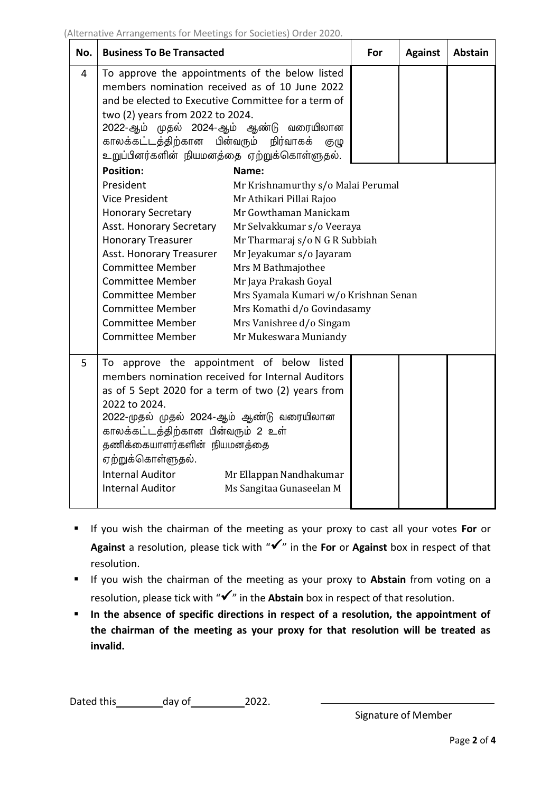| No. | <b>Business To Be Transacted</b>                                                                                                                                                                                                                                                                                                                                                                                          |                                                                                                                                                                                                                                                                                                                                                                 | For | <b>Against</b> | <b>Abstain</b> |  |
|-----|---------------------------------------------------------------------------------------------------------------------------------------------------------------------------------------------------------------------------------------------------------------------------------------------------------------------------------------------------------------------------------------------------------------------------|-----------------------------------------------------------------------------------------------------------------------------------------------------------------------------------------------------------------------------------------------------------------------------------------------------------------------------------------------------------------|-----|----------------|----------------|--|
| 4   | To approve the appointments of the below listed<br>members nomination received as of 10 June 2022<br>and be elected to Executive Committee for a term of<br>two (2) years from 2022 to 2024.<br>2022-ஆம் முதல் 2024-ஆம் ஆண்டு வரையிலான<br>காலக்கட்டத்திற்கான பின்வரும் நிர்வாகக்<br>குழு<br>உறுப்பினர்களின் நியமனத்தை ஏற்றுக்கொள்ளுதல்.                                                                                   |                                                                                                                                                                                                                                                                                                                                                                 |     |                |                |  |
|     | <b>Position:</b><br>Name:<br>President<br><b>Vice President</b><br><b>Honorary Secretary</b><br>Asst. Honorary Secretary<br><b>Honorary Treasurer</b><br>Asst. Honorary Treasurer<br><b>Committee Member</b><br>Committee Member<br>Committee Member<br><b>Committee Member</b><br><b>Committee Member</b><br>Committee Member                                                                                            | Mr Krishnamurthy s/o Malai Perumal<br>Mr Athikari Pillai Rajoo<br>Mr Gowthaman Manickam<br>Mr Selvakkumar s/o Veeraya<br>Mr Tharmaraj s/o N G R Subbiah<br>Mr Jeyakumar s/o Jayaram<br>Mrs M Bathmajothee<br>Mr Jaya Prakash Goyal<br>Mrs Syamala Kumari w/o Krishnan Senan<br>Mrs Komathi d/o Govindasamy<br>Mrs Vanishree d/o Singam<br>Mr Mukeswara Muniandy |     |                |                |  |
| 5   | To approve the appointment of below listed<br>members nomination received for Internal Auditors<br>as of 5 Sept 2020 for a term of two (2) years from<br>2022 to 2024.<br>2022-முதல் முதல் 2024-ஆம் ஆண்டு வரையிலான<br>காலக்கட்டத்திற்கான பின்வரும் 2 உள்<br>தணிக்கையாளர்களின் நியமனத்தை<br>ஏற்றுக்கொள்ளுதல்.<br><b>Internal Auditor</b><br>Mr Ellappan Nandhakumar<br><b>Internal Auditor</b><br>Ms Sangitaa Gunaseelan M |                                                                                                                                                                                                                                                                                                                                                                 |     |                |                |  |

- If you wish the chairman of the meeting as your proxy to cast all your votes **For** or **Against** a resolution, please tick with "✓" in the **For** or **Against** box in respect of that resolution.
- If you wish the chairman of the meeting as your proxy to **Abstain** from voting on a resolution, please tick with "✓" in the **Abstain** box in respect of that resolution.
- **In the absence of specific directions in respect of a resolution, the appointment of the chairman of the meeting as your proxy for that resolution will be treated as invalid.**

Dated this day of 2022.

Signature of Member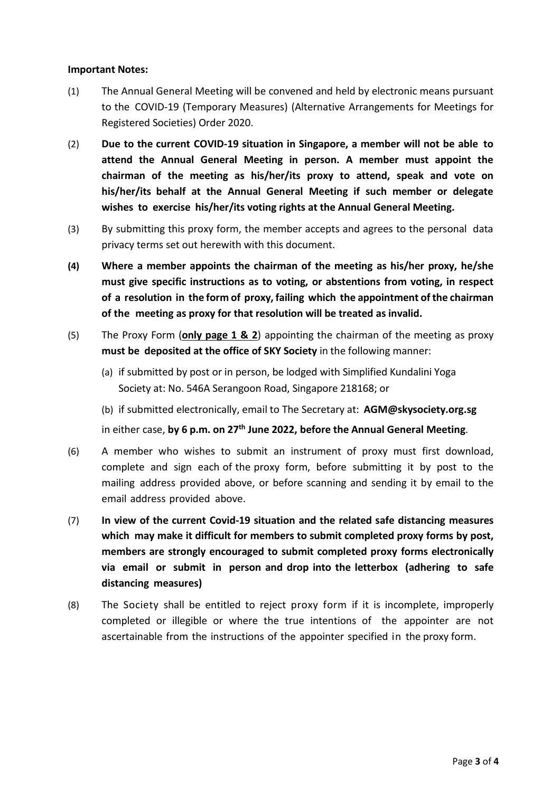#### **Important Notes:**

- (1) The Annual General Meeting will be convened and held by electronic means pursuant to the COVID-19 (Temporary Measures) (Alternative Arrangements for Meetings for Registered Societies) Order 2020.
- (2) **Due to the current COVID-19 situation in Singapore, a member will not be able to attend the Annual General Meeting in person. A member must appoint the chairman of the meeting as his/her/its proxy to attend, speak and vote on his/her/its behalf at the Annual General Meeting if such member or delegate wishes to exercise his/her/its voting rights at the Annual General Meeting.**
- (3) By submitting this proxy form, the member accepts and agrees to the personal data privacy terms set out herewith with this document.
- **(4) Where a member appoints the chairman of the meeting as his/her proxy, he/she must give specific instructions as to voting, or abstentions from voting, in respect of a resolution in the form of proxy, failing which the appointment of the chairman of the meeting as proxy for that resolution will be treated as invalid.**
- (5) The Proxy Form (**only page 1 & 2**) appointing the chairman of the meeting as proxy **must be deposited at the office of SKY Society** in the following manner:
	- (a) if submitted by post or in person, be lodged with Simplified Kundalini Yoga Society at: No. 546A Serangoon Road, Singapore 218168; or
	- (b) if submitted electronically, email to The Secretary at: **AGM@skysociety.org.sg**

in either case, **by 6 p.m. on 27th June 2022, before the Annual General Meeting**.

- (6) A member who wishes to submit an instrument of proxy must first download, complete and sign each of the proxy form, before submitting it by post to the mailing address provided above, or before scanning and sending it by email to the email address provided above.
- (7) **In view of the current Covid-19 situation and the related safe distancing measures which may make it difficult for members to submit completed proxy forms by post, members are strongly encouraged to submit completed proxy forms electronically via email or submit in person and drop into the letterbox (adhering to safe distancing measures)**
- (8) The Society shall be entitled to reject proxy form if it is incomplete, improperly completed or illegible or where the true intentions of the appointer are not ascertainable from the instructions of the appointer specified in the proxy form.